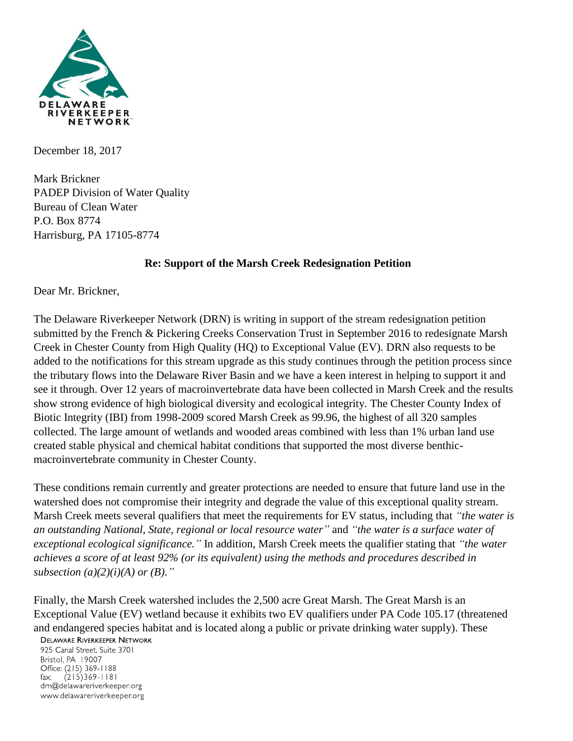

December 18, 2017

Mark Brickner PADEP Division of Water Quality Bureau of Clean Water P.O. Box 8774 Harrisburg, PA 17105-8774

## **Re: Support of the Marsh Creek Redesignation Petition**

Dear Mr. Brickner,

The Delaware Riverkeeper Network (DRN) is writing in support of the stream redesignation petition submitted by the French & Pickering Creeks Conservation Trust in September 2016 to redesignate Marsh Creek in Chester County from High Quality (HQ) to Exceptional Value (EV). DRN also requests to be added to the notifications for this stream upgrade as this study continues through the petition process since the tributary flows into the Delaware River Basin and we have a keen interest in helping to support it and see it through. Over 12 years of macroinvertebrate data have been collected in Marsh Creek and the results show strong evidence of high biological diversity and ecological integrity. The Chester County Index of Biotic Integrity (IBI) from 1998-2009 scored Marsh Creek as 99.96, the highest of all 320 samples collected. The large amount of wetlands and wooded areas combined with less than 1% urban land use created stable physical and chemical habitat conditions that supported the most diverse benthicmacroinvertebrate community in Chester County.

These conditions remain currently and greater protections are needed to ensure that future land use in the watershed does not compromise their integrity and degrade the value of this exceptional quality stream. Marsh Creek meets several qualifiers that meet the requirements for EV status, including that *"the water is an outstanding National, State, regional or local resource water"* and *"the water is a surface water of exceptional ecological significance."* In addition, Marsh Creek meets the qualifier stating that *"the water achieves a score of at least 92% (or its equivalent) using the methods and procedures described in subsection (a)(2)(i)(A) or (B)."*

Finally, the Marsh Creek watershed includes the 2,500 acre Great Marsh. The Great Marsh is an Exceptional Value (EV) wetland because it exhibits two EV qualifiers under PA Code 105.17 (threatened and endangered species habitat and is located along a public or private drinking water supply). These

**DELAWARE RIVERKEEPER NETWORK** 

925 Canal Street, Suite 3701 Bristol, PA 19007 Office: (215) 369-1188  $(215)369 - 1181$ fax: drn@delawareriverkeeper.org www.delawareriverkeeper.org